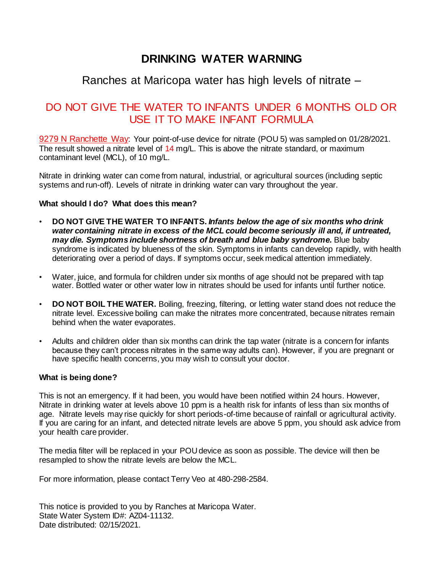## Ranches at Maricopa water has high levels of nitrate –

## DO NOT GIVE THE WATER TO INFANTS UNDER 6 MONTHS OLD OR USE IT TO MAKE INFANT FORMULA

9279 N Ranchette Way: Your point-of-use device for nitrate (POU 5) was sampled on 01/28/2021. The result showed a nitrate level of 14 mg/L. This is above the nitrate standard, or maximum contaminant level (MCL), of 10 mg/L.

Nitrate in drinking water can come from natural, industrial, or agricultural sources (including septic systems and run-off). Levels of nitrate in drinking water can vary throughout the year.

#### **What should I do? What does this mean?**

- **DO NOT GIVE THE WATER TO INFANTS.** *Infants below the age of six months who drink water containing nitrate in excess of the MCL could become seriously ill and, if untreated, may die. Symptoms include shortness of breath and blue baby syndrome.* Blue baby syndrome is indicated by blueness of the skin. Symptoms in infants can develop rapidly, with health deteriorating over a period of days. If symptoms occur, seek medical attention immediately.
- Water, juice, and formula for children under six months of age should not be prepared with tap water. Bottled water or other water low in nitrates should be used for infants until further notice.
- **DO NOT BOIL THE WATER.** Boiling, freezing, filtering, or letting water stand does not reduce the nitrate level. Excessive boiling can make the nitrates more concentrated, because nitrates remain behind when the water evaporates.
- Adults and children older than six months can drink the tap water (nitrate is a concern for infants because they can't process nitrates in the same way adults can). However, if you are pregnant or have specific health concerns, you may wish to consult your doctor.

#### **What is being done?**

This is not an emergency. If it had been, you would have been notified within 24 hours. However, Nitrate in drinking water at levels above 10 ppm is a health risk for infants of less than six months of age. Nitrate levels may rise quickly for short periods-of-time because of rainfall or agricultural activity. If you are caring for an infant, and detected nitrate levels are above 5 ppm, you should ask advice from your health care provider.

The media filter will be replaced in your POU device as soon as possible. The device will then be resampled to show the nitrate levels are below the MCL.

For more information, please contact Terry Veo at 480-298-2584.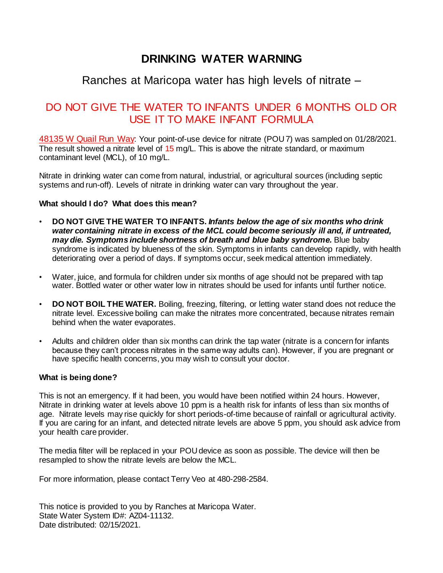## Ranches at Maricopa water has high levels of nitrate –

## DO NOT GIVE THE WATER TO INFANTS UNDER 6 MONTHS OLD OR USE IT TO MAKE INFANT FORMULA

48135 W Quail Run Way: Your point-of-use device for nitrate (POU 7) was sampled on 01/28/2021. The result showed a nitrate level of 15 mg/L. This is above the nitrate standard, or maximum contaminant level (MCL), of 10 mg/L.

Nitrate in drinking water can come from natural, industrial, or agricultural sources (including septic systems and run-off). Levels of nitrate in drinking water can vary throughout the year.

#### **What should I do? What does this mean?**

- **DO NOT GIVE THE WATER TO INFANTS.** *Infants below the age of six months who drink water containing nitrate in excess of the MCL could become seriously ill and, if untreated, may die. Symptoms include shortness of breath and blue baby syndrome.* Blue baby syndrome is indicated by blueness of the skin. Symptoms in infants can develop rapidly, with health deteriorating over a period of days. If symptoms occur, seek medical attention immediately.
- Water, juice, and formula for children under six months of age should not be prepared with tap water. Bottled water or other water low in nitrates should be used for infants until further notice.
- **DO NOT BOIL THE WATER.** Boiling, freezing, filtering, or letting water stand does not reduce the nitrate level. Excessive boiling can make the nitrates more concentrated, because nitrates remain behind when the water evaporates.
- Adults and children older than six months can drink the tap water (nitrate is a concern for infants because they can't process nitrates in the same way adults can). However, if you are pregnant or have specific health concerns, you may wish to consult your doctor.

#### **What is being done?**

This is not an emergency. If it had been, you would have been notified within 24 hours. However, Nitrate in drinking water at levels above 10 ppm is a health risk for infants of less than six months of age. Nitrate levels may rise quickly for short periods-of-time because of rainfall or agricultural activity. If you are caring for an infant, and detected nitrate levels are above 5 ppm, you should ask advice from your health care provider.

The media filter will be replaced in your POU device as soon as possible. The device will then be resampled to show the nitrate levels are below the MCL.

For more information, please contact Terry Veo at 480-298-2584.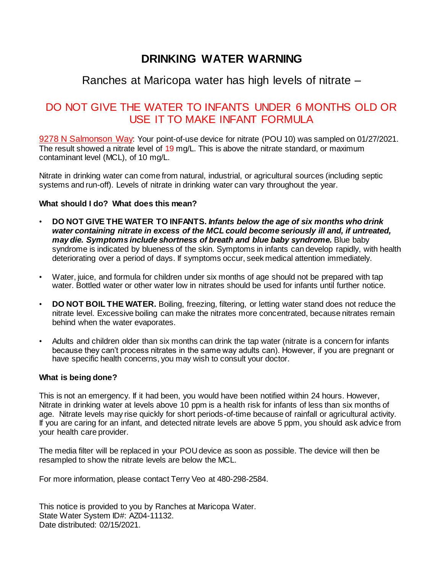## Ranches at Maricopa water has high levels of nitrate –

## DO NOT GIVE THE WATER TO INFANTS UNDER 6 MONTHS OLD OR USE IT TO MAKE INFANT FORMULA

9278 N Salmonson Way: Your point-of-use device for nitrate (POU 10) was sampled on 01/27/2021. The result showed a nitrate level of 19 mg/L. This is above the nitrate standard, or maximum contaminant level (MCL), of 10 mg/L.

Nitrate in drinking water can come from natural, industrial, or agricultural sources (including septic systems and run-off). Levels of nitrate in drinking water can vary throughout the year.

#### **What should I do? What does this mean?**

- **DO NOT GIVE THE WATER TO INFANTS.** *Infants below the age of six months who drink water containing nitrate in excess of the MCL could become seriously ill and, if untreated, may die. Symptoms include shortness of breath and blue baby syndrome.* Blue baby syndrome is indicated by blueness of the skin. Symptoms in infants can develop rapidly, with health deteriorating over a period of days. If symptoms occur, seek medical attention immediately.
- Water, juice, and formula for children under six months of age should not be prepared with tap water. Bottled water or other water low in nitrates should be used for infants until further notice.
- **DO NOT BOIL THE WATER.** Boiling, freezing, filtering, or letting water stand does not reduce the nitrate level. Excessive boiling can make the nitrates more concentrated, because nitrates remain behind when the water evaporates.
- Adults and children older than six months can drink the tap water (nitrate is a concern for infants because they can't process nitrates in the same way adults can). However, if you are pregnant or have specific health concerns, you may wish to consult your doctor.

#### **What is being done?**

This is not an emergency. If it had been, you would have been notified within 24 hours. However, Nitrate in drinking water at levels above 10 ppm is a health risk for infants of less than six months of age. Nitrate levels may rise quickly for short periods-of-time because of rainfall or agricultural activity. If you are caring for an infant, and detected nitrate levels are above 5 ppm, you should ask advice from your health care provider.

The media filter will be replaced in your POU device as soon as possible. The device will then be resampled to show the nitrate levels are below the MCL.

For more information, please contact Terry Veo at 480-298-2584.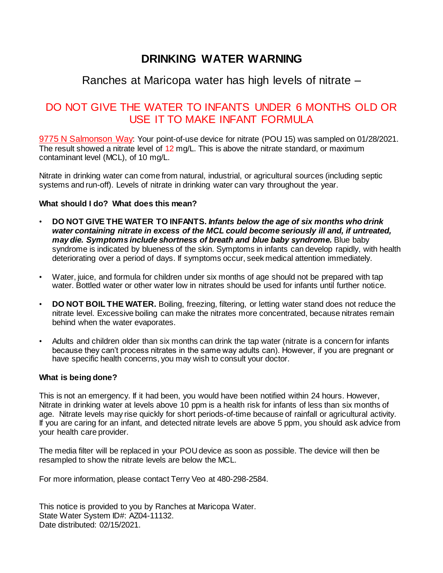## Ranches at Maricopa water has high levels of nitrate –

## DO NOT GIVE THE WATER TO INFANTS UNDER 6 MONTHS OLD OR USE IT TO MAKE INFANT FORMULA

9775 N Salmonson Way: Your point-of-use device for nitrate (POU 15) was sampled on 01/28/2021. The result showed a nitrate level of 12 mg/L. This is above the nitrate standard, or maximum contaminant level (MCL), of 10 mg/L.

Nitrate in drinking water can come from natural, industrial, or agricultural sources (including septic systems and run-off). Levels of nitrate in drinking water can vary throughout the year.

#### **What should I do? What does this mean?**

- **DO NOT GIVE THE WATER TO INFANTS.** *Infants below the age of six months who drink water containing nitrate in excess of the MCL could become seriously ill and, if untreated, may die. Symptoms include shortness of breath and blue baby syndrome.* Blue baby syndrome is indicated by blueness of the skin. Symptoms in infants can develop rapidly, with health deteriorating over a period of days. If symptoms occur, seek medical attention immediately.
- Water, juice, and formula for children under six months of age should not be prepared with tap water. Bottled water or other water low in nitrates should be used for infants until further notice.
- **DO NOT BOIL THE WATER.** Boiling, freezing, filtering, or letting water stand does not reduce the nitrate level. Excessive boiling can make the nitrates more concentrated, because nitrates remain behind when the water evaporates.
- Adults and children older than six months can drink the tap water (nitrate is a concern for infants because they can't process nitrates in the same way adults can). However, if you are pregnant or have specific health concerns, you may wish to consult your doctor.

#### **What is being done?**

This is not an emergency. If it had been, you would have been notified within 24 hours. However, Nitrate in drinking water at levels above 10 ppm is a health risk for infants of less than six months of age. Nitrate levels may rise quickly for short periods-of-time because of rainfall or agricultural activity. If you are caring for an infant, and detected nitrate levels are above 5 ppm, you should ask advice from your health care provider.

The media filter will be replaced in your POU device as soon as possible. The device will then be resampled to show the nitrate levels are below the MCL.

For more information, please contact Terry Veo at 480-298-2584.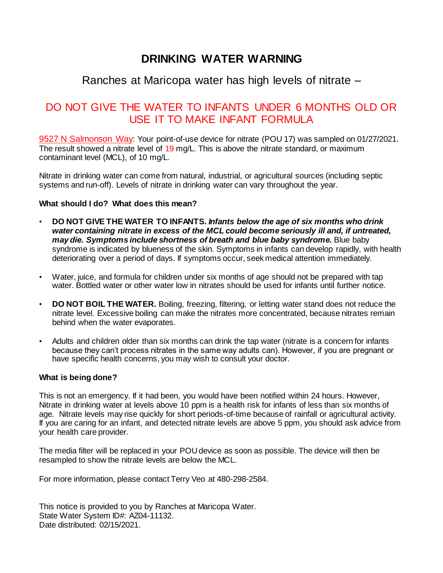## Ranches at Maricopa water has high levels of nitrate –

## DO NOT GIVE THE WATER TO INFANTS UNDER 6 MONTHS OLD OR USE IT TO MAKE INFANT FORMULA

9527 N Salmonson Way: Your point-of-use device for nitrate (POU 17) was sampled on 01/27/2021. The result showed a nitrate level of 19 mg/L. This is above the nitrate standard, or maximum contaminant level (MCL), of 10 mg/L.

Nitrate in drinking water can come from natural, industrial, or agricultural sources (including septic systems and run-off). Levels of nitrate in drinking water can vary throughout the year.

#### **What should I do? What does this mean?**

- **DO NOT GIVE THE WATER TO INFANTS.** *Infants below the age of six months who drink water containing nitrate in excess of the MCL could become seriously ill and, if untreated, may die. Symptoms include shortness of breath and blue baby syndrome.* Blue baby syndrome is indicated by blueness of the skin. Symptoms in infants can develop rapidly, with health deteriorating over a period of days. If symptoms occur, seek medical attention immediately.
- Water, juice, and formula for children under six months of age should not be prepared with tap water. Bottled water or other water low in nitrates should be used for infants until further notice.
- **DO NOT BOIL THE WATER.** Boiling, freezing, filtering, or letting water stand does not reduce the nitrate level. Excessive boiling can make the nitrates more concentrated, because nitrates remain behind when the water evaporates.
- Adults and children older than six months can drink the tap water (nitrate is a concern for infants because they can't process nitrates in the same way adults can). However, if you are pregnant or have specific health concerns, you may wish to consult your doctor.

#### **What is being done?**

This is not an emergency. If it had been, you would have been notified within 24 hours. However, Nitrate in drinking water at levels above 10 ppm is a health risk for infants of less than six months of age. Nitrate levels may rise quickly for short periods-of-time because of rainfall or agricultural activity. If you are caring for an infant, and detected nitrate levels are above 5 ppm, you should ask advice from your health care provider.

The media filter will be replaced in your POU device as soon as possible. The device will then be resampled to show the nitrate levels are below the MCL.

For more information, please contact Terry Veo at 480-298-2584.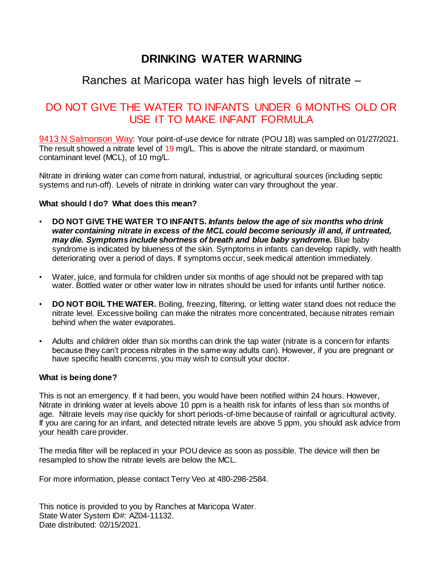## Ranches at Maricopa water has high levels of nitrate –

## DO NOT GIVE THE WATER TO INFANTS UNDER 6 MONTHS OLD OR USE IT TO MAKE INFANT FORMULA

9413 N Salmonson Way: Your point-of-use device for nitrate (POU 18) was sampled on 01/27/2021. The result showed a nitrate level of 19 mg/L. This is above the nitrate standard, or maximum contaminant level (MCL), of 10 mg/L.

Nitrate in drinking water can come from natural, industrial, or agricultural sources (including septic systems and run-off). Levels of nitrate in drinking water can vary throughout the year.

#### **What should I do? What does this mean?**

- **DO NOT GIVE THE WATER TO INFANTS.** *Infants below the age of six months who drink water containing nitrate in excess of the MCL could become seriously ill and, if untreated, may die. Symptoms include shortness of breath and blue baby syndrome.* Blue baby syndrome is indicated by blueness of the skin. Symptoms in infants can develop rapidly, with health deteriorating over a period of days. If symptoms occur, seek medical attention immediately.
- Water, juice, and formula for children under six months of age should not be prepared with tap water. Bottled water or other water low in nitrates should be used for infants until further notice.
- **DO NOT BOIL THE WATER.** Boiling, freezing, filtering, or letting water stand does not reduce the nitrate level. Excessive boiling can make the nitrates more concentrated, because nitrates remain behind when the water evaporates.
- Adults and children older than six months can drink the tap water (nitrate is a concern for infants because they can't process nitrates in the same way adults can). However, if you are pregnant or have specific health concerns, you may wish to consult your doctor.

#### **What is being done?**

This is not an emergency. If it had been, you would have been notified within 24 hours. However, Nitrate in drinking water at levels above 10 ppm is a health risk for infants of less than six months of age. Nitrate levels may rise quickly for short periods-of-time because of rainfall or agricultural activity. If you are caring for an infant, and detected nitrate levels are above 5 ppm, you should ask advice from your health care provider.

The media filter will be replaced in your POU device as soon as possible. The device will then be resampled to show the nitrate levels are below the MCL.

For more information, please contact Terry Veo at 480-298-2584.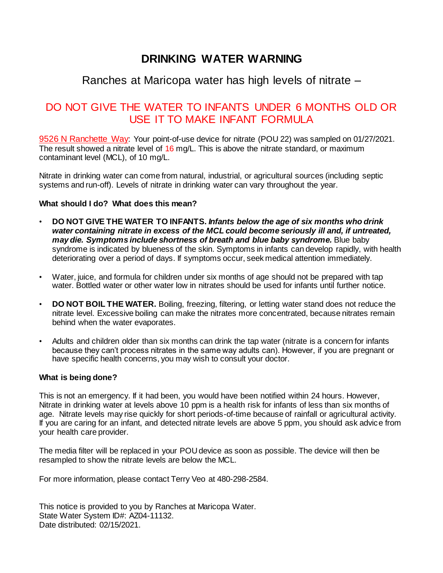## Ranches at Maricopa water has high levels of nitrate –

## DO NOT GIVE THE WATER TO INFANTS UNDER 6 MONTHS OLD OR USE IT TO MAKE INFANT FORMULA

9526 N Ranchette Way: Your point-of-use device for nitrate (POU 22) was sampled on 01/27/2021. The result showed a nitrate level of 16 mg/L. This is above the nitrate standard, or maximum contaminant level (MCL), of 10 mg/L.

Nitrate in drinking water can come from natural, industrial, or agricultural sources (including septic systems and run-off). Levels of nitrate in drinking water can vary throughout the year.

#### **What should I do? What does this mean?**

- **DO NOT GIVE THE WATER TO INFANTS.** *Infants below the age of six months who drink water containing nitrate in excess of the MCL could become seriously ill and, if untreated, may die. Symptoms include shortness of breath and blue baby syndrome.* Blue baby syndrome is indicated by blueness of the skin. Symptoms in infants can develop rapidly, with health deteriorating over a period of days. If symptoms occur, seek medical attention immediately.
- Water, juice, and formula for children under six months of age should not be prepared with tap water. Bottled water or other water low in nitrates should be used for infants until further notice.
- **DO NOT BOIL THE WATER.** Boiling, freezing, filtering, or letting water stand does not reduce the nitrate level. Excessive boiling can make the nitrates more concentrated, because nitrates remain behind when the water evaporates.
- Adults and children older than six months can drink the tap water (nitrate is a concern for infants because they can't process nitrates in the same way adults can). However, if you are pregnant or have specific health concerns, you may wish to consult your doctor.

#### **What is being done?**

This is not an emergency. If it had been, you would have been notified within 24 hours. However, Nitrate in drinking water at levels above 10 ppm is a health risk for infants of less than six months of age. Nitrate levels may rise quickly for short periods-of-time because of rainfall or agricultural activity. If you are caring for an infant, and detected nitrate levels are above 5 ppm, you should ask advice from your health care provider.

The media filter will be replaced in your POU device as soon as possible. The device will then be resampled to show the nitrate levels are below the MCL.

For more information, please contact Terry Veo at 480-298-2584.